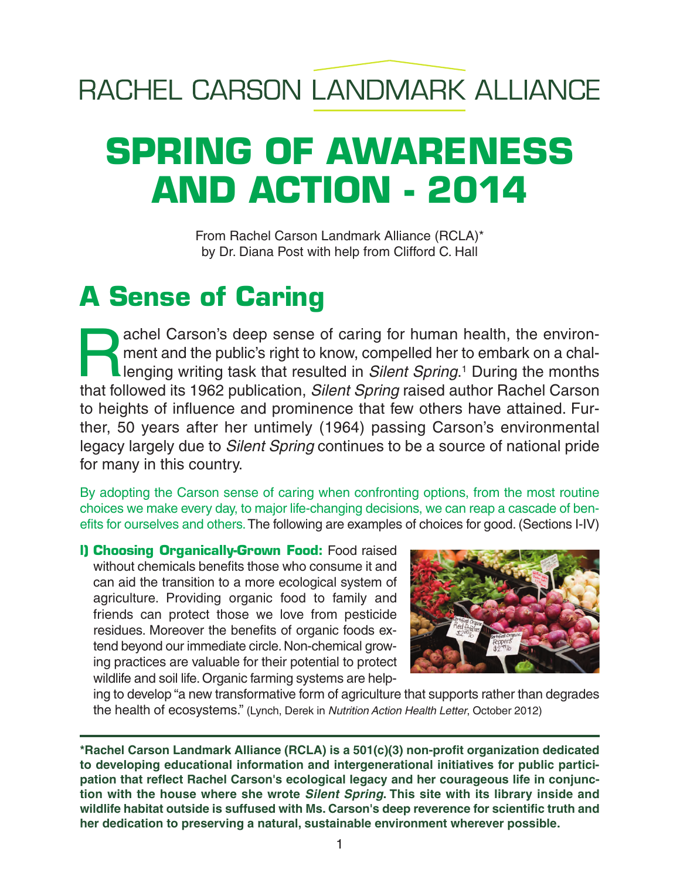## RACHEL CARSON LANDMARK ALLIANCE

# **SPRING OF AWARENESS AND ACTION - 2014**

From Rachel Carson Landmark Alliance (RCLA)\* by Dr. Diana Post with help from Clifford C. Hall

## **A Sense of Caring**

achel Carson's deep sense of caring for human health, the environ-<br>ment and the public's right to know, compelled her to embark on a chal-<br>lenging writing task that resulted in *Silent Spring*.<sup>1</sup> During the months<br>that fo ment and the public's right to know, compelled her to embark on a challenging writing task that resulted in *Silent Spring*. <sup>1</sup> During the months that followed its 1962 publication, *Silent Spring* raised author Rachel Carson to heights of influence and prominence that few others have attained. Further, 50 years after her untimely (1964) passing Carson's environmental legacy largely due to *Silent Spring* continues to be a source of national pride for many in this country.

By adopting the Carson sense of caring when confronting options, from the most routine choices we make every day, to major life-changing decisions, we can reap a cascade of benefits for ourselves and others.The following are examples of choices for good. (Sections I-IV)

**I) Choosing Organically-Grown Food:** Food raised without chemicals benefits those who consume it and can aid the transition to a more ecological system of agriculture. Providing organic food to family and friends can protect those we love from pesticide residues. Moreover the benefits of organic foods extend beyond our immediate circle. Non-chemical growing practices are valuable for their potential to protect wildlife and soil life. Organic farming systems are help-



ing to develop "a new transformative form of agriculture that supports rather than degrades the health of ecosystems." (Lynch, Derek in *Nutrition Action Health Letter*, October 2012)

**\*Rachel Carson Landmark Alliance (RCLA) is a 501(c)(3) non-profit organization dedicated to developing educational information and intergenerational initiatives for public participation that reflect Rachel Carson's ecological legacy and her courageous life in conjunction with the house where she wrote** *Silent Spring***. This site with its library inside and wildlife habitat outside is suffused with Ms. Carson's deep reverence for scientific truth and her dedication to preserving a natural, sustainable environment wherever possible.**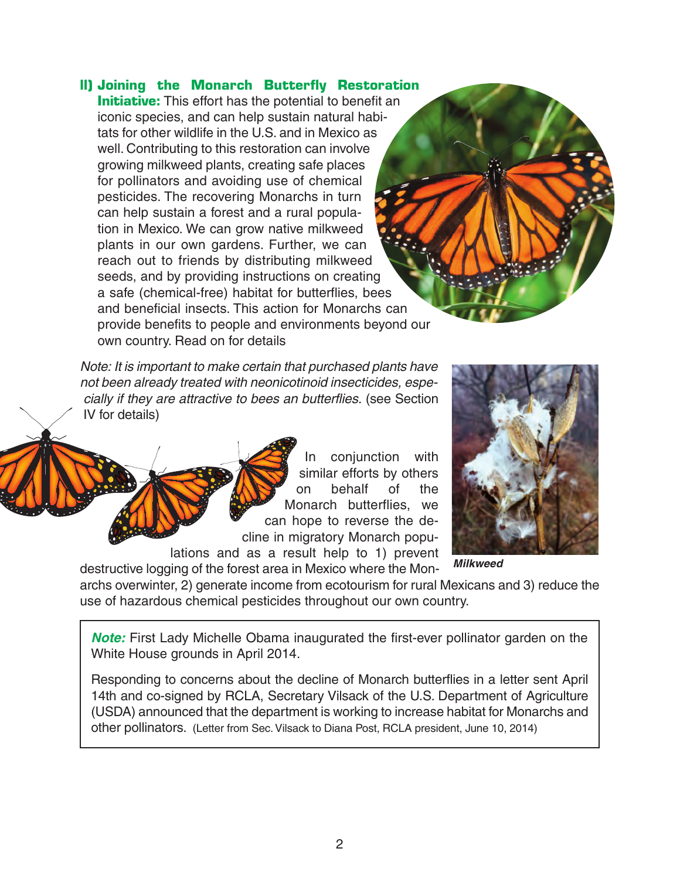### **ll) Joining the Monarch Butterfly Restoration**

**Initiative:** This effort has the potential to benefit an iconic species, and can help sustain natural habitats for other wildlife in the U.S. and in Mexico as well. Contributing to this restoration can involve growing milkweed plants, creating safe places for pollinators and avoiding use of chemical pesticides. The recovering Monarchs in turn can help sustain a forest and a rural population in Mexico. We can grow native milkweed plants in our own gardens. Further, we can reach out to friends by distributing milkweed seeds, and by providing instructions on creating a safe (chemical-free) habitat for butterflies, bees and beneficial insects. This action for Monarchs can provide benefits to people and environments beyond our own country. Read on for details

*Note: It is important to make certain that purchased plants have not been already treated with neonicotinoid insecticides, especially if they are attractive to bees an butterflies.* (see Section IV for details)

> In conjunction with similar efforts by others on behalf of the Monarch butterflies, we can hope to reverse the decline in migratory Monarch popu-

lations and as a result help to 1) prevent destructive logging of the forest area in Mexico where the Mon-



*Milkweed*

archs overwinter, 2) generate income from ecotourism for rural Mexicans and 3) reduce the use of hazardous chemical pesticides throughout our own country.

*Note:* First Lady Michelle Obama inaugurated the first-ever pollinator garden on the White House grounds in April 2014.

Responding to concerns about the decline of Monarch butterflies in a letter sent April 14th and co-signed by RCLA, Secretary Vilsack of the U.S. Department of Agriculture (USDA) announced that the department is working to increase habitat for Monarchs and other pollinators. (Letter from Sec. Vilsack to Diana Post, RCLA president, June 10, 2014)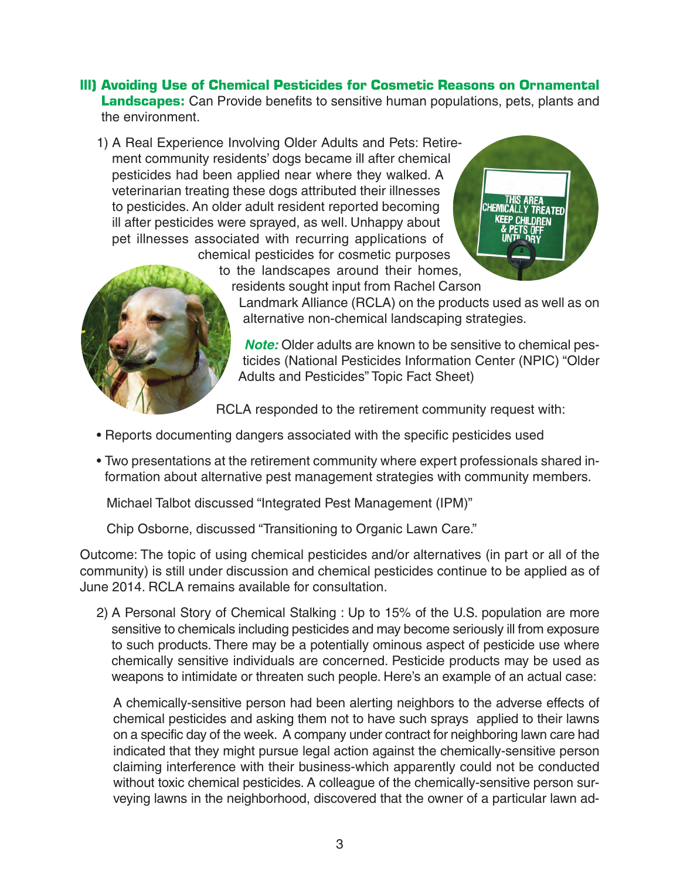### **lll) Avoiding Use of Chemical Pesticides for Cosmetic Reasons on Ornamental Landscapes:** Can Provide benefits to sensitive human populations, pets, plants and the environment.

1) A Real Experience Involving Older Adults and Pets: Retirement community residents' dogs became ill after chemical pesticides had been applied near where they walked. A veterinarian treating these dogs attributed their illnesses to pesticides. An older adult resident reported becoming ill after pesticides were sprayed, as well. Unhappy about pet illnesses associated with recurring applications of chemical pesticides for cosmetic purposes





to the landscapes around their homes, residents sought input from Rachel Carson

Landmark Alliance (RCLA) on the products used as well as on alternative non-chemical landscaping strategies.

*Note:* Older adults are known to be sensitive to chemical pesticides (National Pesticides Information Center (NPIC) "Older Adults and Pesticides" Topic Fact Sheet)

RCLA responded to the retirement community request with:

- Reports documenting dangers associated with the specific pesticides used
- Two presentations at the retirement community where expert professionals shared information about alternative pest management strategies with community members.

Michael Talbot discussed "Integrated Pest Management (IPM)"

Chip Osborne, discussed "Transitioning to Organic Lawn Care."

Outcome: The topic of using chemical pesticides and/or alternatives (in part or all of the community) is still under discussion and chemical pesticides continue to be applied as of June 2014. RCLA remains available for consultation.

2) A Personal Story of Chemical Stalking : Up to 15% of the U.S. population are more sensitive to chemicals including pesticides and may become seriously ill from exposure to such products. There may be a potentially ominous aspect of pesticide use where chemically sensitive individuals are concerned. Pesticide products may be used as weapons to intimidate or threaten such people. Here's an example of an actual case:

A chemically-sensitive person had been alerting neighbors to the adverse effects of chemical pesticides and asking them not to have such sprays applied to their lawns on a specific day of the week. A company under contract for neighboring lawn care had indicated that they might pursue legal action against the chemically-sensitive person claiming interference with their business-which apparently could not be conducted without toxic chemical pesticides. A colleague of the chemically-sensitive person surveying lawns in the neighborhood, discovered that the owner of a particular lawn ad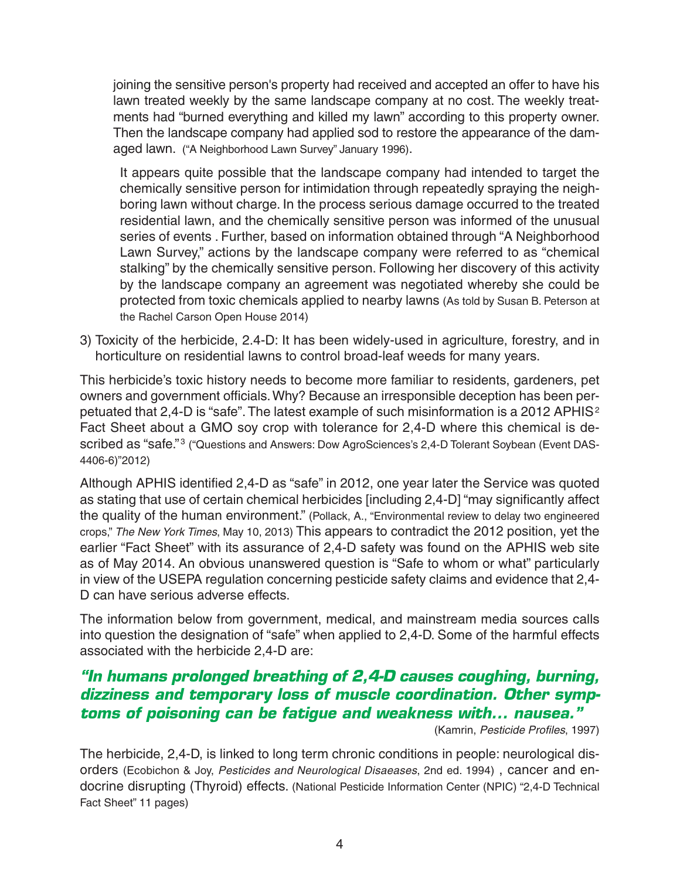joining the sensitive person's property had received and accepted an offer to have his lawn treated weekly by the same landscape company at no cost. The weekly treatments had "burned everything and killed my lawn" according to this property owner. Then the landscape company had applied sod to restore the appearance of the damaged lawn. ("A Neighborhood Lawn Survey" January 1996).

It appears quite possible that the landscape company had intended to target the chemically sensitive person for intimidation through repeatedly spraying the neighboring lawn without charge. In the process serious damage occurred to the treated residential lawn, and the chemically sensitive person was informed of the unusual series of events . Further, based on information obtained through "A Neighborhood Lawn Survey," actions by the landscape company were referred to as "chemical stalking" by the chemically sensitive person. Following her discovery of this activity by the landscape company an agreement was negotiated whereby she could be protected from toxic chemicals applied to nearby lawns (As told by Susan B. Peterson at the Rachel Carson Open House 2014)

3) Toxicity of the herbicide, 2.4-D: It has been widely-used in agriculture, forestry, and in horticulture on residential lawns to control broad-leaf weeds for many years.

This herbicide's toxic history needs to become more familiar to residents, gardeners, pet owners and government officials.Why? Because an irresponsible deception has been perpetuated that 2,4-D is "safe". The latest example of such misinformation is a 2012 APHIS<sup>2</sup> Fact Sheet about a GMO soy crop with tolerance for 2,4-D where this chemical is described as "safe."<sup>3</sup> ("Questions and Answers: Dow AgroSciences's 2,4-D Tolerant Soybean (Event DAS-4406-6)"2012)

Although APHIS identified 2,4-D as "safe" in 2012, one year later the Service was quoted as stating that use of certain chemical herbicides [including 2,4-D] "may significantly affect the quality of the human environment." (Pollack, A., "Environmental review to delay two engineered crops," *The New York Times*, May 10, 2013) This appears to contradict the 2012 position, yet the earlier "Fact Sheet" with its assurance of 2,4-D safety was found on the APHIS web site as of May 2014. An obvious unanswered question is "Safe to whom or what" particularly in view of the USEPA regulation concerning pesticide safety claims and evidence that 2,4- D can have serious adverse effects.

The information below from government, medical, and mainstream media sources calls into question the designation of "safe" when applied to 2,4-D. Some of the harmful effects associated with the herbicide 2,4-D are:

### *"In humans prolonged breathing of 2,4-D causes coughing, burning, dizziness and temporary loss of muscle coordination. Other symptoms of poisoning can be fatigue and weakness with... nausea."*

(Kamrin, *Pesticide Profiles*, 1997)

The herbicide, 2,4-D, is linked to long term chronic conditions in people: neurological disorders (Ecobichon & Joy, *Pesticides and Neurological Disaeases*, 2nd ed. 1994) , cancer and endocrine disrupting (Thyroid) effects. (National Pesticide Information Center (NPIC) "2,4-D Technical Fact Sheet" 11 pages)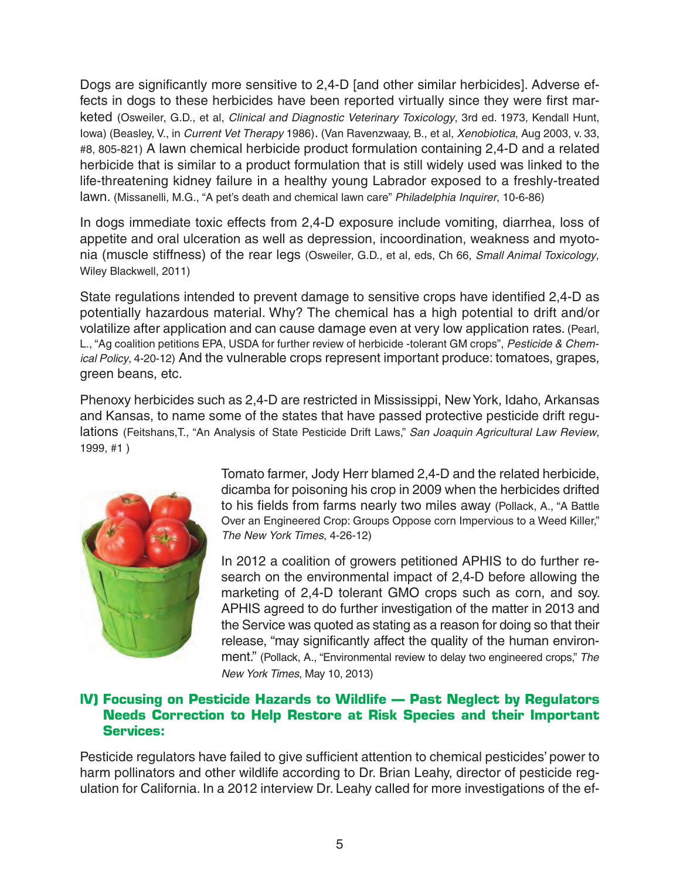Dogs are significantly more sensitive to 2,4-D [and other similar herbicides]. Adverse effects in dogs to these herbicides have been reported virtually since they were first marketed (Osweiler, G.D., et al, *Clinical and Diagnostic Veterinary Toxicology*, 3rd ed. 1973, Kendall Hunt, Iowa) (Beasley, V., in *Current Vet Therapy* 1986). (Van Ravenzwaay, B., et al, *Xenobiotica*, Aug 2003, v. 33, #8, 805-821) A lawn chemical herbicide product formulation containing 2,4-D and a related herbicide that is similar to a product formulation that is still widely used was linked to the life-threatening kidney failure in a healthy young Labrador exposed to a freshly-treated lawn. (Missanelli, M.G., "A pet's death and chemical lawn care" *Philadelphia Inquirer*, 10-6-86)

In dogs immediate toxic effects from 2,4-D exposure include vomiting, diarrhea, loss of appetite and oral ulceration as well as depression, incoordination, weakness and myotonia (muscle stiffness) of the rear legs (Osweiler, G.D., et al, eds, Ch 66, *Small Animal Toxicology*, Wiley Blackwell, 2011)

State regulations intended to prevent damage to sensitive crops have identified 2,4-D as potentially hazardous material. Why? The chemical has a high potential to drift and/or volatilize after application and can cause damage even at very low application rates. (Pearl, L., "Ag coalition petitions EPA, USDA for further review of herbicide -tolerant GM crops", *Pesticide & Chemical Policy*, 4-20-12) And the vulnerable crops represent important produce: tomatoes, grapes, green beans, etc.

Phenoxy herbicides such as 2,4-D are restricted in Mississippi, New York, Idaho, Arkansas and Kansas, to name some of the states that have passed protective pesticide drift regulations (Feitshans,T., "An Analysis of State Pesticide Drift Laws," *San Joaquin Agricultural Law Review*, 1999, #1 )



Tomato farmer, Jody Herr blamed 2,4-D and the related herbicide, dicamba for poisoning his crop in 2009 when the herbicides drifted to his fields from farms nearly two miles away (Pollack, A., "A Battle Over an Engineered Crop: Groups Oppose corn Impervious to a Weed Killer," *The New York Times*, 4-26-12)

In 2012 a coalition of growers petitioned APHIS to do further research on the environmental impact of 2,4-D before allowing the marketing of 2,4-D tolerant GMO crops such as corn, and soy. APHIS agreed to do further investigation of the matter in 2013 and the Service was quoted as stating as a reason for doing so that their release, "may significantly affect the quality of the human environment." (Pollack, A., "Environmental review to delay two engineered crops," *The New York Times*, May 10, 2013)

### **lV) Focusing on Pesticide Hazards to Wildlife — Past Neglect by Regulators Needs Correction to Help Restore at Risk Species and their Important Services:**

Pesticide regulators have failed to give sufficient attention to chemical pesticides' power to harm pollinators and other wildlife according to Dr. Brian Leahy, director of pesticide regulation for California. In a 2012 interview Dr. Leahy called for more investigations of the ef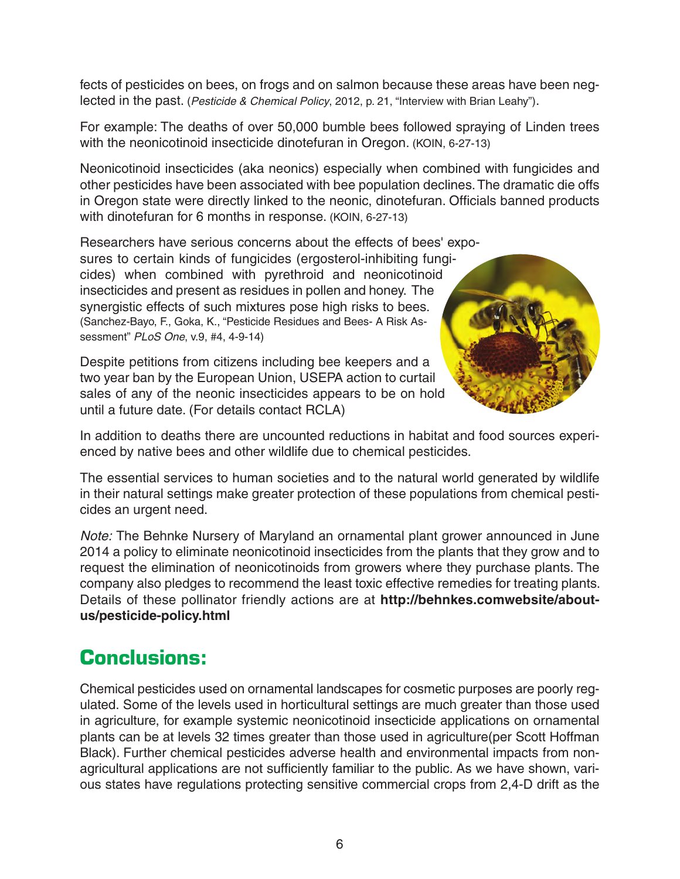fects of pesticides on bees, on frogs and on salmon because these areas have been neglected in the past. (*Pesticide & Chemical Policy*, 2012, p. 21, "Interview with Brian Leahy").

For example: The deaths of over 50,000 bumble bees followed spraying of Linden trees with the neonicotinoid insecticide dinotefuran in Oregon. (KOIN, 6-27-13)

Neonicotinoid insecticides (aka neonics) especially when combined with fungicides and other pesticides have been associated with bee population declines.The dramatic die offs in Oregon state were directly linked to the neonic, dinotefuran. Officials banned products with dinotefuran for 6 months in response. (KOIN, 6-27-13)

Researchers have serious concerns about the effects of bees' exposures to certain kinds of fungicides (ergosterol-inhibiting fungi-

cides) when combined with pyrethroid and neonicotinoid insecticides and present as residues in pollen and honey. The synergistic effects of such mixtures pose high risks to bees. (Sanchez-Bayo, F., Goka, K., "Pesticide Residues and Bees- A Risk Assessment" *PLoS One*, v.9, #4, 4-9-14)

Despite petitions from citizens including bee keepers and a two year ban by the European Union, USEPA action to curtail sales of any of the neonic insecticides appears to be on hold until a future date. (For details contact RCLA)



In addition to deaths there are uncounted reductions in habitat and food sources experienced by native bees and other wildlife due to chemical pesticides.

The essential services to human societies and to the natural world generated by wildlife in their natural settings make greater protection of these populations from chemical pesticides an urgent need.

*Note:* The Behnke Nursery of Maryland an ornamental plant grower announced in June 2014 a policy to eliminate neonicotinoid insecticides from the plants that they grow and to request the elimination of neonicotinoids from growers where they purchase plants. The company also pledges to recommend the least toxic effective remedies for treating plants. Details of these pollinator friendly actions are at **http://behnkes.comwebsite/aboutus/pesticide-policy.html**

### **Conclusions:**

Chemical pesticides used on ornamental landscapes for cosmetic purposes are poorly regulated. Some of the levels used in horticultural settings are much greater than those used in agriculture, for example systemic neonicotinoid insecticide applications on ornamental plants can be at levels 32 times greater than those used in agriculture(per Scott Hoffman Black). Further chemical pesticides adverse health and environmental impacts from nonagricultural applications are not sufficiently familiar to the public. As we have shown, various states have regulations protecting sensitive commercial crops from 2,4-D drift as the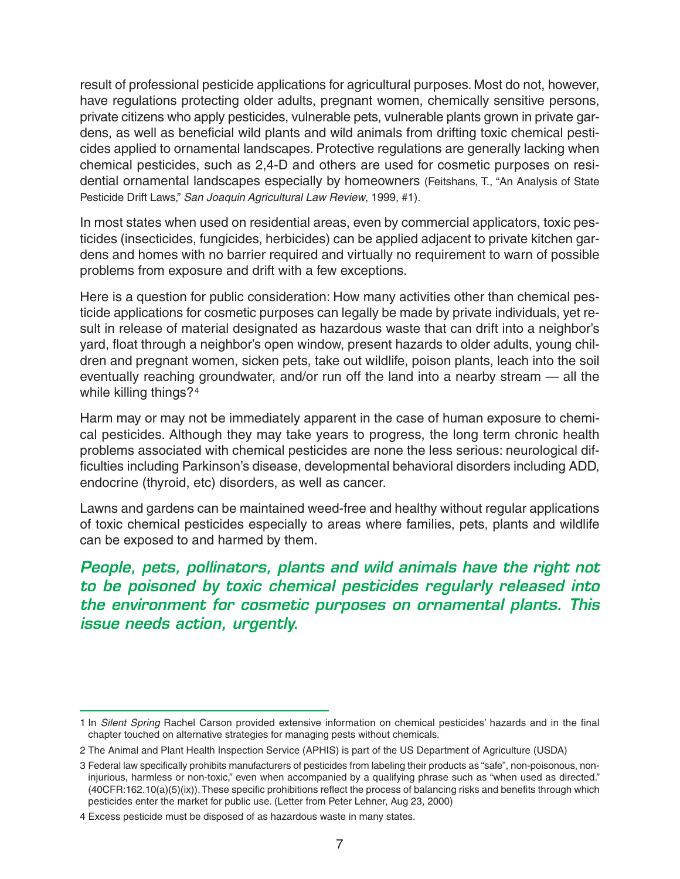result of professional pesticide applications for agricultural purposes. Most do not, however, have regulations protecting older adults, pregnant women, chemically sensitive persons, private citizens who apply pesticides, vulnerable pets, vulnerable plants grown in private gardens, as well as beneficial wild plants and wild animals from drifting toxic chemical pesticides applied to ornamental landscapes. Protective regulations are generally lacking when chemical pesticides, such as 2,4-D and others are used for cosmetic purposes on residential ornamental landscapes especially by homeowners (Feitshans, T., "An Analysis of State Pesticide Drift Laws," *San Joaquin Agricultural Law Review*, 1999, #1).

In most states when used on residential areas, even by commercial applicators, toxic pesticides (insecticides, fungicides, herbicides) can be applied adjacent to private kitchen gardens and homes with no barrier required and virtually no requirement to warn of possible problems from exposure and drift with a few exceptions.

Here is a question for public consideration: How many activities other than chemical pesticide applications for cosmetic purposes can legally be made by private individuals, yet result in release of material designated as hazardous waste that can drift into a neighbor's yard, float through a neighbor's open window, present hazards to older adults, young children and pregnant women, sicken pets, take out wildlife, poison plants, leach into the soil eventually reaching groundwater, and/or run off the land into a nearby stream — all the while killing things?<sup>4</sup>

Harm may or may not be immediately apparent in the case of human exposure to chemical pesticides. Although they may take years to progress, the long term chronic health problems associated with chemical pesticides are none the less serious: neurological difficulties including Parkinson's disease, developmental behavioral disorders including ADD, endocrine (thyroid, etc) disorders, as well as cancer.

Lawns and gardens can be maintained weed-free and healthy without regular applications of toxic chemical pesticides especially to areas where families, pets, plants and wildlife can be exposed to and harmed by them.

*People, pets, pollinators, plants and wild animals have the right not to be poisoned by toxic chemical pesticides regularly released into the environment for cosmetic purposes on ornamental plants. This issue needs action, urgently.*

<sup>1</sup> In *Silent Spring* Rachel Carson provided extensive information on chemical pesticides' hazards and in the final chapter touched on alternative strategies for managing pests without chemicals.

<sup>2</sup> The Animal and Plant Health Inspection Service (APHIS) is part of the US Department of Agriculture (USDA)

<sup>3</sup> Federal law specifically prohibits manufacturers of pesticides from labeling their products as "safe", non-poisonous, noninjurious, harmless or non-toxic," even when accompanied by a qualifying phrase such as "when used as directed." (40CFR:162.10(a)(5)(ix)).These specific prohibitions reflect the process of balancing risks and benefits through which pesticides enter the market for public use. (Letter from Peter Lehner, Aug 23, 2000)

<sup>4</sup> Excess pesticide must be disposed of as hazardous waste in many states.